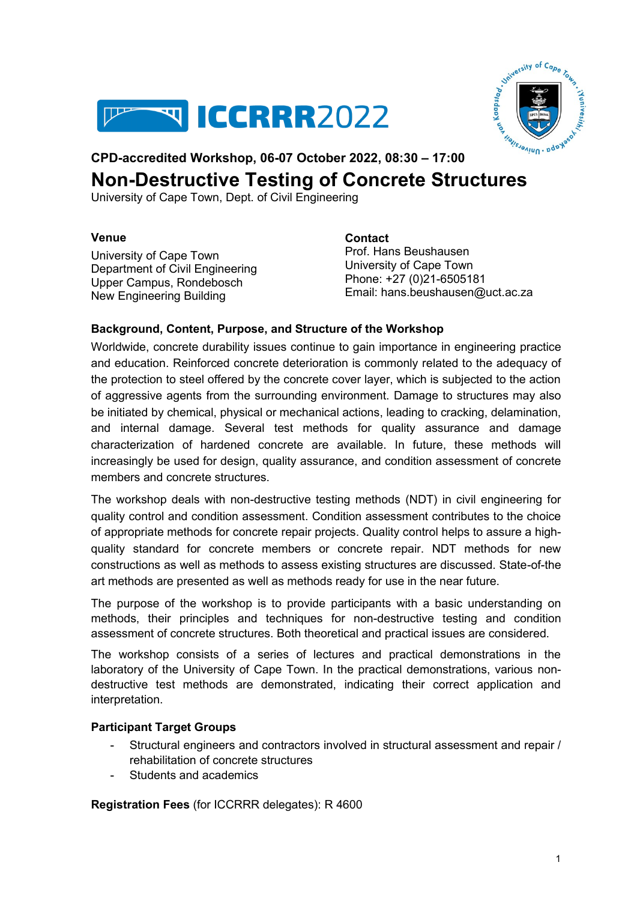



# **CPD-accredited Workshop, 06-07 October 2022, 08:30 – 17:00 Non-Destructive Testing of Concrete Structures**

University of Cape Town, Dept. of Civil Engineering

## **Venue**

University of Cape Town Department of Civil Engineering Upper Campus, Rondebosch New Engineering Building

**Contact**

Prof. Hans Beushausen University of Cape Town Phone: +27 (0)21-6505181 Email: hans.beushausen@uct.ac.za

## **Background, Content, Purpose, and Structure of the Workshop**

Worldwide, concrete durability issues continue to gain importance in engineering practice and education. Reinforced concrete deterioration is commonly related to the adequacy of the protection to steel offered by the concrete cover layer, which is subjected to the action of aggressive agents from the surrounding environment. Damage to structures may also be initiated by chemical, physical or mechanical actions, leading to cracking, delamination, and internal damage. Several test methods for quality assurance and damage characterization of hardened concrete are available. In future, these methods will increasingly be used for design, quality assurance, and condition assessment of concrete members and concrete structures.

The workshop deals with non-destructive testing methods (NDT) in civil engineering for quality control and condition assessment. Condition assessment contributes to the choice of appropriate methods for concrete repair projects. Quality control helps to assure a highquality standard for concrete members or concrete repair. NDT methods for new constructions as well as methods to assess existing structures are discussed. State-of-the art methods are presented as well as methods ready for use in the near future.

The purpose of the workshop is to provide participants with a basic understanding on methods, their principles and techniques for non-destructive testing and condition assessment of concrete structures. Both theoretical and practical issues are considered.

The workshop consists of a series of lectures and practical demonstrations in the laboratory of the University of Cape Town. In the practical demonstrations, various nondestructive test methods are demonstrated, indicating their correct application and interpretation.

## **Participant Target Groups**

- Structural engineers and contractors involved in structural assessment and repair / rehabilitation of concrete structures
- Students and academics

**Registration Fees** (for ICCRRR delegates): R 4600